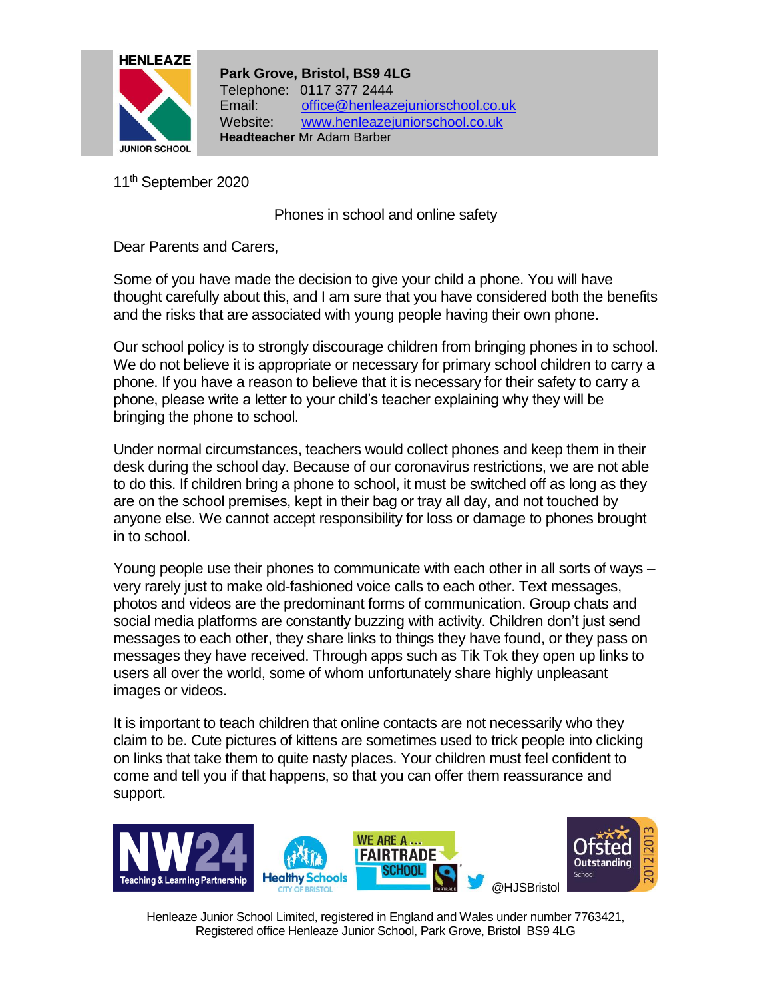

**Park Grove, Bristol, BS9 4LG** Telephone: 0117 377 2444 Email: [office@henleazejuniorschool.co.uk](mailto:office@henleazejuniorschool.co.uk) Website: [www.henleazejuniorschool.co.uk](http://www.henleazejuniorschool.co.uk/) **Headteacher** Mr Adam Barber

11<sup>th</sup> September 2020

Phones in school and online safety

Dear Parents and Carers,

Some of you have made the decision to give your child a phone. You will have thought carefully about this, and I am sure that you have considered both the benefits and the risks that are associated with young people having their own phone.

Our school policy is to strongly discourage children from bringing phones in to school. We do not believe it is appropriate or necessary for primary school children to carry a phone. If you have a reason to believe that it is necessary for their safety to carry a phone, please write a letter to your child's teacher explaining why they will be bringing the phone to school.

Under normal circumstances, teachers would collect phones and keep them in their desk during the school day. Because of our coronavirus restrictions, we are not able to do this. If children bring a phone to school, it must be switched off as long as they are on the school premises, kept in their bag or tray all day, and not touched by anyone else. We cannot accept responsibility for loss or damage to phones brought in to school.

Young people use their phones to communicate with each other in all sorts of ways – very rarely just to make old-fashioned voice calls to each other. Text messages, photos and videos are the predominant forms of communication. Group chats and social media platforms are constantly buzzing with activity. Children don't just send messages to each other, they share links to things they have found, or they pass on messages they have received. Through apps such as Tik Tok they open up links to users all over the world, some of whom unfortunately share highly unpleasant images or videos.

It is important to teach children that online contacts are not necessarily who they claim to be. Cute pictures of kittens are sometimes used to trick people into clicking on links that take them to quite nasty places. Your children must feel confident to come and tell you if that happens, so that you can offer them reassurance and support.





Henleaze Junior School Limited, registered in England and Wales under number 7763421, Registered office Henleaze Junior School, Park Grove, Bristol BS9 4LG